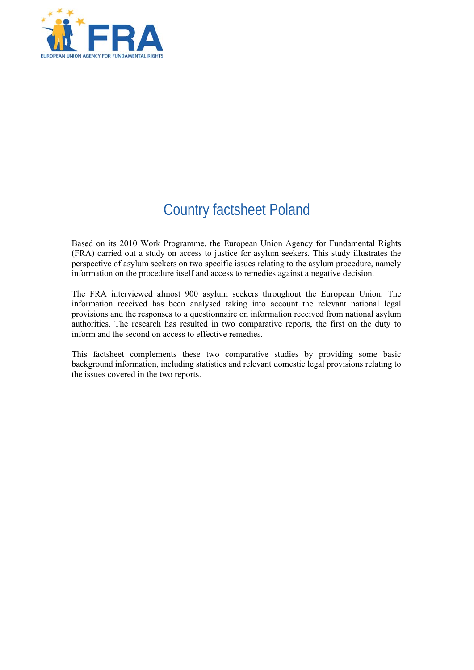

# Country factsheet Poland

Based on its 2010 Work Programme, the European Union Agency for Fundamental Rights (FRA) carried out a study on access to justice for asylum seekers. This study illustrates the perspective of asylum seekers on two specific issues relating to the asylum procedure, namely information on the procedure itself and access to remedies against a negative decision.

The FRA interviewed almost 900 asylum seekers throughout the European Union. The information received has been analysed taking into account the relevant national legal provisions and the responses to a questionnaire on information received from national asylum authorities. The research has resulted in two comparative reports, the first on the duty to inform and the second on access to effective remedies.

This factsheet complements these two comparative studies by providing some basic background information, including statistics and relevant domestic legal provisions relating to the issues covered in the two reports.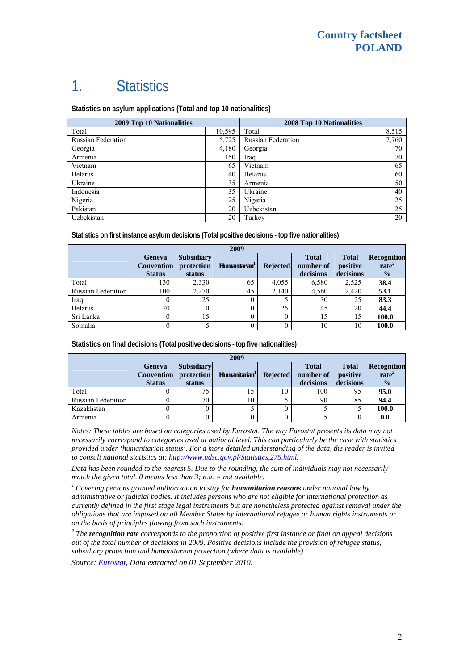# 1. Statistics

**Statistics on asylum applications (Total and top 10 nationalities)**

| <b>2009 Top 10 Nationalities</b> |        | <b>2008 Top 10 Nationalities</b> |       |  |
|----------------------------------|--------|----------------------------------|-------|--|
| Total                            | 10,595 | Total                            | 8,515 |  |
| <b>Russian Federation</b>        | 5,725  | <b>Russian Federation</b>        | 7,760 |  |
| Georgia                          | 4,180  | Georgia                          | 70    |  |
| Armenia                          | 150    | Iraq                             | 70    |  |
| Vietnam                          | 65     | Vietnam                          | 65    |  |
| <b>Belarus</b>                   | 40     | <b>Belarus</b>                   | 60    |  |
| Ukraine                          | 35     | Armenia                          | 50    |  |
| Indonesia                        | 35     | Ukraine                          | 40    |  |
| Nigeria                          | 25     | Nigeria                          | 25    |  |
| Pakistan                         | 20     | Uzbekistan                       | 25    |  |
| Uzbekistan                       | 20     | Turkey                           | 20    |  |

**Statistics on first instance asylum decisions (Total positive decisions - top five nationalities)** 

| 2009                      |                                              |                                           |                           |                 |                                        |                                       |                                                   |
|---------------------------|----------------------------------------------|-------------------------------------------|---------------------------|-----------------|----------------------------------------|---------------------------------------|---------------------------------------------------|
|                           | Geneva<br><b>Convention</b><br><b>Status</b> | <b>Subsidiary</b><br>protection<br>status | Humanitarian <sup>1</sup> | <b>Rejected</b> | <b>Total</b><br>number of<br>decisions | <b>Total</b><br>positive<br>decisions | Recognition<br>rate <sup>2</sup><br>$\frac{0}{2}$ |
| Total                     | 130                                          | 2,330                                     | 65                        | 4,055           | 6,580                                  | 2,525                                 | 38.4                                              |
| <b>Russian Federation</b> | 100                                          | 2,270                                     | 45                        | 2,140           | 4,560                                  | 2,420                                 | 53.1                                              |
| Iraq                      | 0                                            | 25                                        |                           |                 | 30                                     | 25                                    | 83.3                                              |
| <b>Belarus</b>            | 20                                           |                                           |                           | 25              | 45                                     | 20                                    | 44.4                                              |
| Sri Lanka                 | 0                                            | 15                                        |                           |                 | 15                                     | 15                                    | 100.0                                             |
| Somalia                   | 0                                            |                                           |                           |                 | 10                                     | 10                                    | 100.0                                             |

**Statistics on final decisions (Total positive decisions - top five nationalities)** 

| 2009                      |                                              |                                           |                           |                 |                                        |                                       |                                                          |
|---------------------------|----------------------------------------------|-------------------------------------------|---------------------------|-----------------|----------------------------------------|---------------------------------------|----------------------------------------------------------|
|                           | Geneva<br><b>Convention</b><br><b>Status</b> | <b>Subsidiary</b><br>protection<br>status | Humanitarian <sup>1</sup> | <b>Rejected</b> | <b>Total</b><br>number of<br>decisions | <b>Total</b><br>positive<br>decisions | <b>Recognition</b><br>rate <sup>2</sup><br>$\frac{0}{0}$ |
| Total                     |                                              | 75                                        | 15                        | 10              | 100                                    | 95                                    | 95.0                                                     |
| <b>Russian Federation</b> |                                              | 70                                        | 10                        |                 | 90                                     | 85                                    | 94.4                                                     |
| Kazakhstan                |                                              |                                           |                           |                 |                                        |                                       | 100.0                                                    |
| Armenia                   |                                              |                                           |                           |                 |                                        |                                       | 0.0                                                      |

*Notes: These tables are based on categories used by Eurostat. The way Eurostat presents its data may not necessarily correspond to categories used at national level. This can particularly be the case with statistics provided under 'humanitarian status'. For a more detailed understanding of the data, the reader is invited to consult national statistics at: [http://www.udsc.gov.pl/Statistics,275.html.](http://www.udsc.gov.pl/Statistics,275.html)* 

*Data has been rounded to the nearest 5. Due to the rounding, the sum of individuals may not necessarily match the given total. 0 means less than 3; n.a. = not available.* 

<sup>1</sup> Covering persons granted authorisation to stay for **humanitarian reasons** under national law by *administrative or judicial bodies. It includes persons who are not eligible for international protection as currently defined in the first stage legal instruments but are nonetheless protected against removal under the obligations that are imposed on all Member States by international refugee or human rights instruments or on the basis of principles flowing from such instruments.* 

*2 The recognition rate corresponds to the proportion of positive first instance or final on appeal decisions out of the total number of decisions in 2009. Positive decisions include the provision of refugee status, subsidiary protection and humanitarian protection (where data is available).* 

*Source: [Eurostat](http://epp.eurostat.ec.europa.eu/), Data extracted on 01 September 2010.*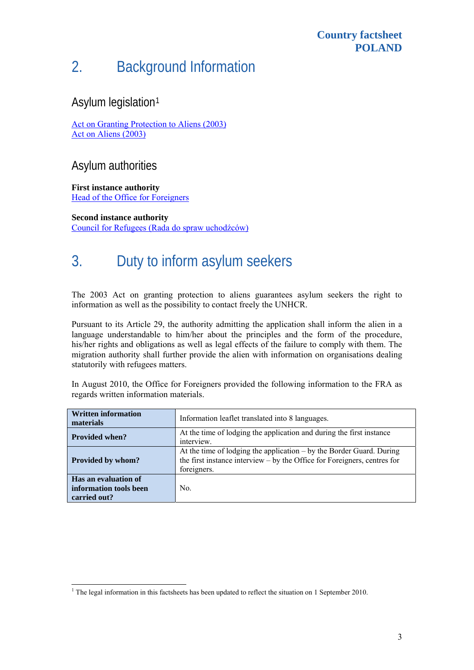#### **Country factsheet POLAND**

# 2. Background Information

### Asylum legislation[1](#page-2-0)

[Act on Granting Protection to Aliens \(2003\)](http://www.udsc.gov.pl/files/prawo/ACT%20of%20June%2013%202003%20(3).doc) [Act on Aliens \(2003\)](http://www.udsc.gov.pl/files/old_file/44e9bdd07d1b8_1-44043372d9359_cudzoziemcy.pdf)

### Asylum authorities

**First instance authority**  [Head of the Office for Foreigners](http://www.udsc.gov.pl/)

**Second instance authority**  [Council for Refugees \(Rada do spraw uchod](http://www.rada-ds-uchodzcow.gov.pl/)źców)

# 3. Duty to inform asylum seekers

The 2003 Act on granting protection to aliens guarantees asylum seekers the right to information as well as the possibility to contact freely the UNHCR.

Pursuant to its Article 29, the authority admitting the application shall inform the alien in a language understandable to him/her about the principles and the form of the procedure, his/her rights and obligations as well as legal effects of the failure to comply with them. The migration authority shall further provide the alien with information on organisations dealing statutorily with refugees matters.

In August 2010, the Office for Foreigners provided the following information to the FRA as regards written information materials.

| <b>Written information</b><br>materials                        | Information leaflet translated into 8 languages.                                                                                                                    |  |  |
|----------------------------------------------------------------|---------------------------------------------------------------------------------------------------------------------------------------------------------------------|--|--|
| <b>Provided when?</b>                                          | At the time of lodging the application and during the first instance<br>interview.                                                                                  |  |  |
| <b>Provided by whom?</b>                                       | At the time of lodging the application $-$ by the Border Guard. During<br>the first instance interview $-$ by the Office for Foreigners, centres for<br>foreigners. |  |  |
| Has an evaluation of<br>information tools been<br>carried out? | No.                                                                                                                                                                 |  |  |

<span id="page-2-0"></span>The legal information in this factsheets has been updated to reflect the situation on 1 September 2010.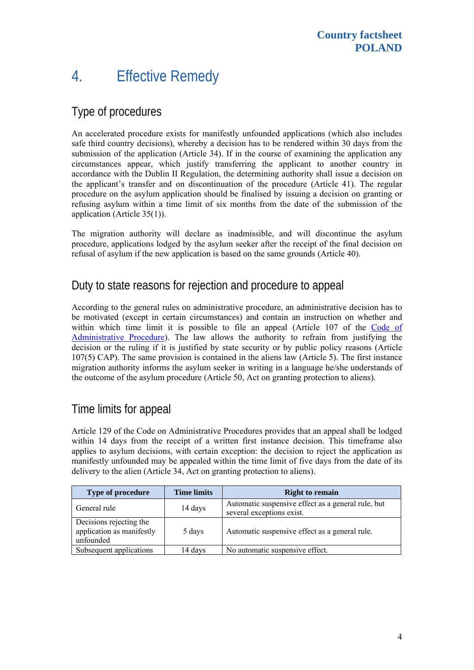## 4. Effective Remedy

### Type of procedures

An accelerated procedure exists for manifestly unfounded applications (which also includes safe third country decisions), whereby a decision has to be rendered within 30 days from the submission of the application (Article 34). If in the course of examining the application any circumstances appear, which justify transferring the applicant to another country in accordance with the Dublin II Regulation, the determining authority shall issue a decision on the applicant's transfer and on discontinuation of the procedure (Article 41). The regular procedure on the asylum application should be finalised by issuing a decision on granting or refusing asylum within a time limit of six months from the date of the submission of the application (Article 35(1)).

The migration authority will declare as inadmissible, and will discontinue the asylum procedure, applications lodged by the asylum seeker after the receipt of the final decision on refusal of asylum if the new application is based on the same grounds (Article 40).

### Duty to state reasons for rejection and procedure to appeal

According to the general rules on administrative procedure, an administrative decision has to be motivated (except in certain circumstances) and contain an instruction on whether and within which time limit it is possible to file an appeal (Article 107 of the [Code of](http://msp.money.pl/akty_prawne/kodeks_postepowania_administracyjnego/?sec=0207)  [Administrative Procedure\)](http://msp.money.pl/akty_prawne/kodeks_postepowania_administracyjnego/?sec=0207). The law allows the authority to refrain from justifying the decision or the ruling if it is justified by state security or by public policy reasons (Article 107(5) CAP). The same provision is contained in the aliens law (Article 5). The first instance migration authority informs the asylum seeker in writing in a language he/she understands of the outcome of the asylum procedure (Article 50, Act on granting protection to aliens).

## Time limits for appeal

Article 129 of the Code on Administrative Procedures provides that an appeal shall be lodged within 14 days from the receipt of a written first instance decision. This timeframe also applies to asylum decisions, with certain exception: the decision to reject the application as manifestly unfounded may be appealed within the time limit of five days from the date of its delivery to the alien (Article 34, Act on granting protection to aliens).

| Type of procedure                                                 | <b>Time limits</b> | <b>Right to remain</b>                                                          |
|-------------------------------------------------------------------|--------------------|---------------------------------------------------------------------------------|
| General rule                                                      | 14 days            | Automatic suspensive effect as a general rule, but<br>several exceptions exist. |
| Decisions rejecting the<br>application as manifestly<br>unfounded | 5 days             | Automatic suspensive effect as a general rule.                                  |
| Subsequent applications                                           | 14 days            | No automatic suspensive effect.                                                 |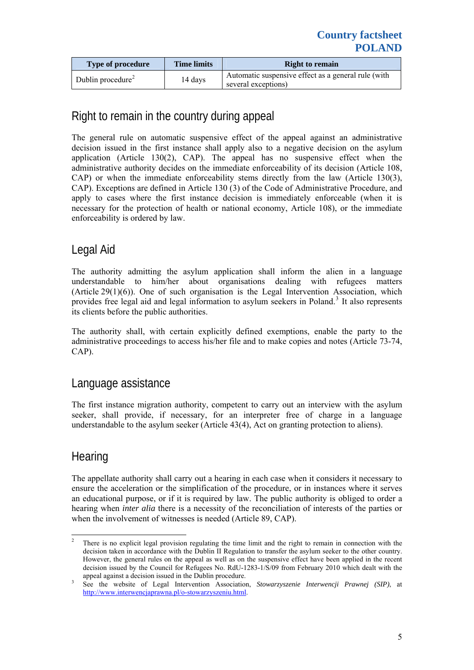| <b>Type of procedure</b>      | <b>Time limits</b> | <b>Right to remain</b>                                                     |
|-------------------------------|--------------------|----------------------------------------------------------------------------|
| Dublin procedure <sup>2</sup> | 14 days            | Automatic suspensive effect as a general rule (with<br>several exceptions) |

## Right to remain in the country during appeal

The general rule on automatic suspensive effect of the appeal against an administrative decision issued in the first instance shall apply also to a negative decision on the asylum application (Article 130(2), CAP). The appeal has no suspensive effect when the administrative authority decides on the immediate enforceability of its decision (Article 108, CAP) or when the immediate enforceability stems directly from the law (Article 130(3), CAP). Exceptions are defined in Article 130 (3) of the Code of Administrative Procedure, and apply to cases where the first instance decision is immediately enforceable (when it is necessary for the protection of health or national economy, Article 108), or the immediate enforceability is ordered by law.

### Legal Aid

The authority admitting the asylum application shall inform the alien in a language understandable to him/her about organisations dealing with refugees matters (Article  $29(1)(6)$ ). One of such organisation is the Legal Intervention Association, which provides free legal aid and legal information to asylum seekers in Poland.<sup>[3](#page-4-1)</sup> It also represents its clients before the public authorities.

The authority shall, with certain explicitly defined exemptions, enable the party to the administrative proceedings to access his/her file and to make copies and notes (Article 73-74, CAP).

#### Language assistance

The first instance migration authority, competent to carry out an interview with the asylum seeker, shall provide, if necessary, for an interpreter free of charge in a language understandable to the asylum seeker (Article 43(4), Act on granting protection to aliens).

### **Hearing**

The appellate authority shall carry out a hearing in each case when it considers it necessary to ensure the acceleration or the simplification of the procedure, or in instances where it serves an educational purpose, or if it is required by law. The public authority is obliged to order a hearing when *inter alia* there is a necessity of the reconciliation of interests of the parties or when the involvement of witnesses is needed (Article 89, CAP).

<span id="page-4-0"></span> $\frac{1}{2}$  There is no explicit legal provision regulating the time limit and the right to remain in connection with the decision taken in accordance with the Dublin II Regulation to transfer the asylum seeker to the other country. However, the general rules on the appeal as well as on the suspensive effect have been applied in the recent decision issued by the Council for Refugees No. RdU-1283-1/S/09 from February 2010 which dealt with the appeal against a decision issued in the Dublin procedure.

<span id="page-4-1"></span>See the website of Legal Intervention Association, *Stowarzyszenie Interwencji Prawnej (SIP)*, at <http://www.interwencjaprawna.pl/o-stowarzyszeniu.html>.